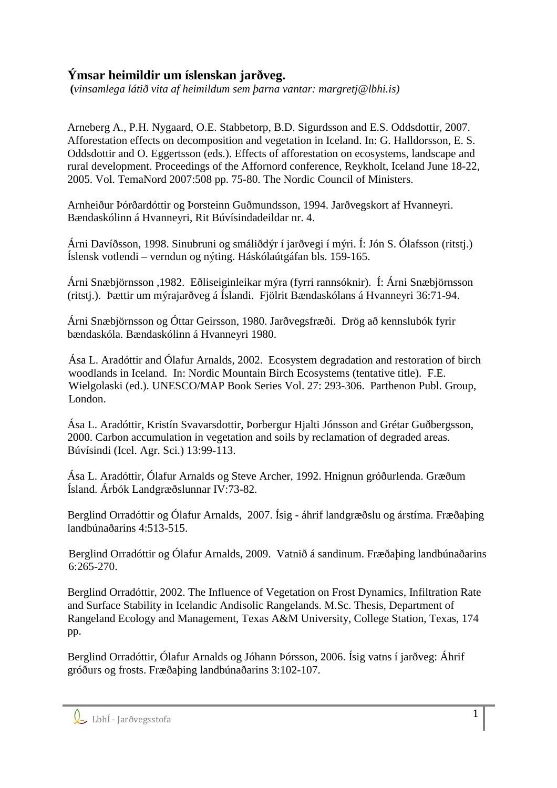## **Ýmsar heimildir um íslenskan jarðveg.**

 **(***vinsamlega látið vita af heimildum sem þarna vantar: margretj@lbhi.is)* 

Arneberg A., P.H. Nygaard, O.E. Stabbetorp, B.D. Sigurdsson and E.S. Oddsdottir, 2007. Afforestation effects on decomposition and vegetation in Iceland. In: G. Halldorsson, E. S. Oddsdottir and O. Eggertsson (eds.). Effects of afforestation on ecosystems, landscape and rural development. Proceedings of the Affornord conference, Reykholt, Iceland June 18-22, 2005. Vol. TemaNord 2007:508 pp. 75-80. The Nordic Council of Ministers.

Arnheiður Þórðardóttir og Þorsteinn Guðmundsson, 1994. Jarðvegskort af Hvanneyri. Bændaskólinn á Hvanneyri, Rit Búvísindadeildar nr. 4.

Árni Davíðsson, 1998. Sinubruni og smáliðdýr í jarðvegi í mýri. Í: Jón S. Ólafsson (ritstj.) Íslensk votlendi – verndun og nýting. Háskólaútgáfan bls. 159-165.

Árni Snæbjörnsson ,1982. Eðliseiginleikar mýra (fyrri rannsóknir). Í: Árni Snæbjörnsson (ritstj.). Þættir um mýrajarðveg á Íslandi. Fjölrit Bændaskólans á Hvanneyri 36:71-94.

Árni Snæbjörnsson og Óttar Geirsson, 1980. Jarðvegsfræði. Drög að kennslubók fyrir bændaskóla. Bændaskólinn á Hvanneyri 1980.

Ása L. Aradóttir and Ólafur Arnalds, 2002. Ecosystem degradation and restoration of birch woodlands in Iceland. In: Nordic Mountain Birch Ecosystems (tentative title). F.E. Wielgolaski (ed.). UNESCO/MAP Book Series Vol. 27: 293-306. Parthenon Publ. Group, London.

Ása L. Aradóttir, Kristín Svavarsdottir, Þorbergur Hjalti Jónsson and Grétar Guðbergsson, 2000. Carbon accumulation in vegetation and soils by reclamation of degraded areas. Búvísindi (Icel. Agr. Sci.) 13:99-113.

Ása L. Aradóttir, Ólafur Arnalds og Steve Archer, 1992. Hnignun gróðurlenda. Græðum Ísland. Árbók Landgræðslunnar IV:73-82.

Berglind Orradóttir og Ólafur Arnalds, 2007. Ísig - áhrif landgræðslu og árstíma. Fræðaþing landbúnaðarins 4:513-515.

Berglind Orradóttir og Ólafur Arnalds, 2009. Vatnið á sandinum. Fræðaþing landbúnaðarins 6:265-270.

Berglind Orradóttir, 2002. The Influence of Vegetation on Frost Dynamics, Infiltration Rate and Surface Stability in Icelandic Andisolic Rangelands. M.Sc. Thesis, Department of Rangeland Ecology and Management, Texas A&M University, College Station, Texas, 174 pp.

Berglind Orradóttir, Ólafur Arnalds og Jóhann Þórsson, 2006. Ísig vatns í jarðveg: Áhrif gróðurs og frosts. Fræðaþing landbúnaðarins 3:102-107.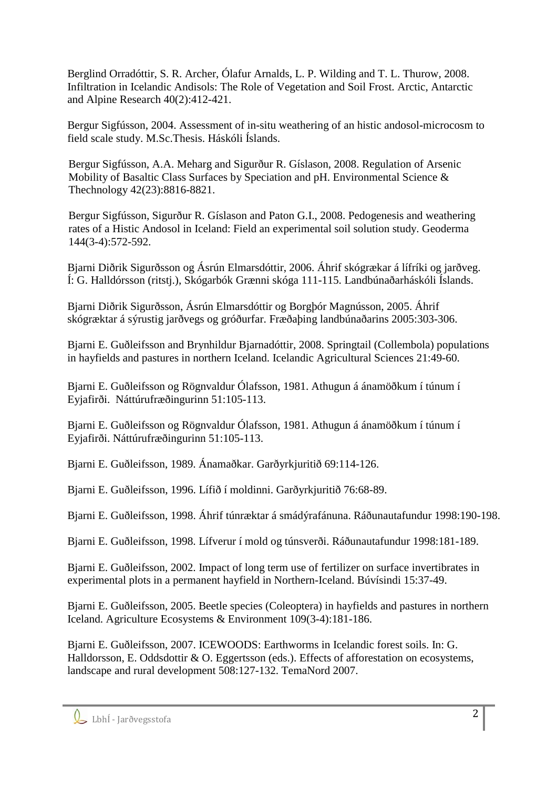Berglind Orradóttir, S. R. Archer, Ólafur Arnalds, L. P. Wilding and T. L. Thurow, 2008. Infiltration in Icelandic Andisols: The Role of Vegetation and Soil Frost. Arctic, Antarctic and Alpine Research 40(2):412-421.

Bergur Sigfússon, 2004. Assessment of in-situ weathering of an histic andosol-microcosm to field scale study. M.Sc.Thesis. Háskóli Íslands.

Bergur Sigfússon, A.A. Meharg and Sigurður R. Gíslason, 2008. Regulation of Arsenic Mobility of Basaltic Class Surfaces by Speciation and pH. Environmental Science & Thechnology 42(23):8816-8821.

Bergur Sigfússon, Sigurður R. Gíslason and Paton G.I., 2008. Pedogenesis and weathering rates of a Histic Andosol in Iceland: Field an experimental soil solution study. Geoderma 144(3-4):572-592.

Bjarni Diðrik Sigurðsson og Ásrún Elmarsdóttir, 2006. Áhrif skógrækar á lífríki og jarðveg. Í: G. Halldórsson (ritstj.), Skógarbók Grænni skóga 111-115. Landbúnaðarháskóli Íslands.

Bjarni Diðrik Sigurðsson, Ásrún Elmarsdóttir og Borgþór Magnússon, 2005. Áhrif skógræktar á sýrustig jarðvegs og gróðurfar. Fræðaþing landbúnaðarins 2005:303-306.

Bjarni E. Guðleifsson and Brynhildur Bjarnadóttir, 2008. Springtail (Collembola) populations in hayfields and pastures in northern Iceland. Icelandic Agricultural Sciences 21:49-60.

Bjarni E. Guðleifsson og Rögnvaldur Ólafsson, 1981. Athugun á ánamöðkum í túnum í Eyjafirði. Náttúrufræðingurinn 51:105-113.

Bjarni E. Guðleifsson og Rögnvaldur Ólafsson, 1981. Athugun á ánamöðkum í túnum í Eyjafirði. Náttúrufræðingurinn 51:105-113.

Bjarni E. Guðleifsson, 1989. Ánamaðkar. Garðyrkjuritið 69:114-126.

Bjarni E. Guðleifsson, 1996. Lífið í moldinni. Garðyrkjuritið 76:68-89.

Bjarni E. Guðleifsson, 1998. Áhrif túnræktar á smádýrafánuna. Ráðunautafundur 1998:190-198.

Bjarni E. Guðleifsson, 1998. Lífverur í mold og túnsverði. Ráðunautafundur 1998:181-189.

Bjarni E. Guðleifsson, 2002. Impact of long term use of fertilizer on surface invertibrates in experimental plots in a permanent hayfield in Northern-Iceland. Búvísindi 15:37-49.

Bjarni E. Guðleifsson, 2005. Beetle species (Coleoptera) in hayfields and pastures in northern Iceland. Agriculture Ecosystems & Environment 109(3-4):181-186.

Bjarni E. Guðleifsson, 2007. ICEWOODS: Earthworms in Icelandic forest soils. In: G. Halldorsson, E. Oddsdottir & O. Eggertsson (eds.). Effects of afforestation on ecosystems, landscape and rural development 508:127-132. TemaNord 2007.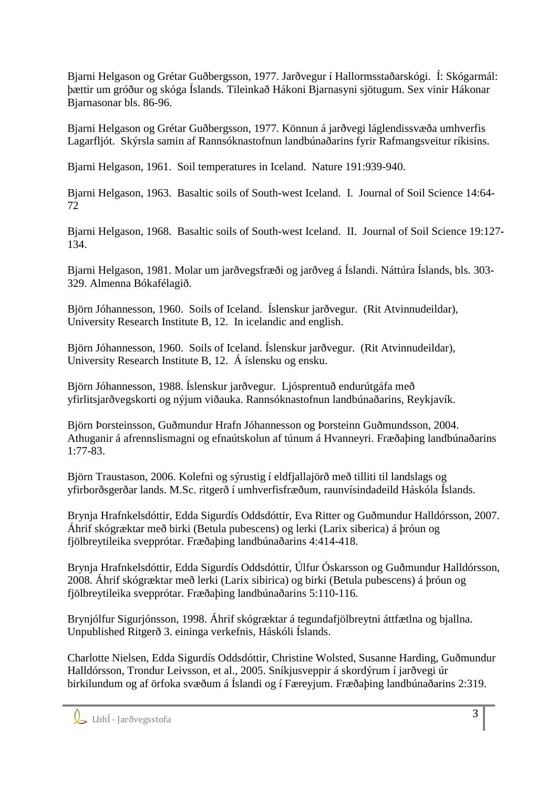Bjarni Helgason og Grétar Guðbergsson, 1977. Jarðvegur í Hallormsstaðarskógi. Í: Skógarmál: þættir um gróður og skóga Íslands. Tileinkað Hákoni Bjarnasyni sjötugum. Sex vinir Hákonar Bjarnasonar bls. 86-96.

Bjarni Helgason og Grétar Guðbergsson, 1977. Könnun á jarðvegi láglendissvæða umhverfis Lagarfljót. Skýrsla samin af Rannsóknastofnun landbúnaðarins fyrir Rafmangsveitur ríkisins.

Bjarni Helgason, 1961. Soil temperatures in Iceland. Nature 191:939-940.

Bjarni Helgason, 1963. Basaltic soils of South-west Iceland. I. Journal of Soil Science 14:64- 72

Bjarni Helgason, 1968. Basaltic soils of South-west Iceland. II. Journal of Soil Science 19:127- 134.

Bjarni Helgason, 1981. Molar um jarðvegsfræði og jarðveg á Íslandi. Náttúra Íslands, bls. 303- 329. Almenna Bókafélagið.

Björn Jóhannesson, 1960. Soils of Iceland. Íslenskur jarðvegur. (Rit Atvinnudeildar), University Research Institute B, 12. In icelandic and english.

Björn Jóhannesson, 1960. Soils of Iceland. Íslenskur jarðvegur. (Rit Atvinnudeildar), University Research Institute B, 12. Á íslensku og ensku.

Björn Jóhannesson, 1988. Íslenskur jarðvegur. Ljósprentuð endurútgáfa með yfirlitsjarðvegskorti og nýjum viðauka. Rannsóknastofnun landbúnaðarins, Reykjavík.

Björn Þorsteinsson, Guðmundur Hrafn Jóhannesson og Þorsteinn Guðmundsson, 2004. Athuganir á afrennslismagni og efnaútskolun af túnum á Hvanneyri. Fræðaþing landbúnaðarins 1:77-83.

Björn Traustason, 2006. Kolefni og sýrustig í eldfjallajörð með tilliti til landslags og yfirborðsgerðar lands. M.Sc. ritgerð í umhverfisfræðum, raunvísindadeild Háskóla Íslands.

Brynja Hrafnkelsdóttir, Edda Sigurdís Oddsdóttir, Eva Ritter og Guðmundur Halldórsson, 2007. Áhrif skógræktar með birki (Betula pubescens) og lerki (Larix siberica) á þróun og fjölbreytileika svepprótar. Fræðaþing landbúnaðarins 4:414-418.

Brynja Hrafnkelsdóttir, Edda Sigurdís Oddsdóttir, Úlfur Óskarsson og Guðmundur Halldórsson, 2008. Áhrif skógræktar með lerki (Larix sibirica) og birki (Betula pubescens) á þróun og fjölbreytileika svepprótar. Fræðaþing landbúnaðarins 5:110-116.

Brynjólfur Sigurjónsson, 1998. Áhrif skógræktar á tegundafjölbreytni áttfætlna og bjallna. Unpublished Ritgerð 3. eininga verkefnis, Háskóli Íslands.

Charlotte Nielsen, Edda Sigurdís Oddsdóttir, Christine Wolsted, Susanne Harding, Guðmundur Halldórsson, Trondur Leivsson, et al., 2005. Sníkjusveppir á skordýrum í jarðvegi úr birkilundum og af örfoka svæðum á Íslandi og í Færeyjum. Fræðaþing landbúnaðarins 2:319.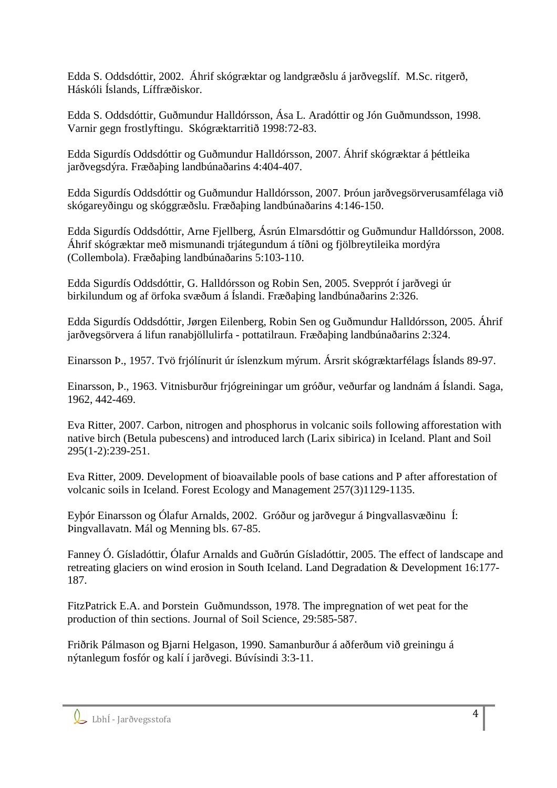Edda S. Oddsdóttir, 2002. Áhrif skógræktar og landgræðslu á jarðvegslíf. M.Sc. ritgerð, Háskóli Íslands, Líffræðiskor.

Edda S. Oddsdóttir, Guðmundur Halldórsson, Ása L. Aradóttir og Jón Guðmundsson, 1998. Varnir gegn frostlyftingu. Skógræktarritið 1998:72-83.

Edda Sigurdís Oddsdóttir og Guðmundur Halldórsson, 2007. Áhrif skógræktar á þéttleika jarðvegsdýra. Fræðaþing landbúnaðarins 4:404-407.

Edda Sigurdís Oddsdóttir og Guðmundur Halldórsson, 2007. Þróun jarðvegsörverusamfélaga við skógareyðingu og skóggræðslu. Fræðaþing landbúnaðarins 4:146-150.

Edda Sigurdís Oddsdóttir, Arne Fjellberg, Ásrún Elmarsdóttir og Guðmundur Halldórsson, 2008. Áhrif skógræktar með mismunandi trjátegundum á tíðni og fjölbreytileika mordýra (Collembola). Fræðaþing landbúnaðarins 5:103-110.

Edda Sigurdís Oddsdóttir, G. Halldórsson og Robin Sen, 2005. Svepprót í jarðvegi úr birkilundum og af örfoka svæðum á Íslandi. Fræðaþing landbúnaðarins 2:326.

Edda Sigurdís Oddsdóttir, Jørgen Eilenberg, Robin Sen og Guðmundur Halldórsson, 2005. Áhrif jarðvegsörvera á lifun ranabjöllulirfa - pottatilraun. Fræðaþing landbúnaðarins 2:324.

Einarsson Þ., 1957. Tvö frjólínurit úr íslenzkum mýrum. Ársrit skógræktarfélags Íslands 89-97.

Einarsson, Þ., 1963. Vitnisburður frjógreiningar um gróður, veðurfar og landnám á Íslandi. Saga, 1962, 442-469.

Eva Ritter, 2007. Carbon, nitrogen and phosphorus in volcanic soils following afforestation with native birch (Betula pubescens) and introduced larch (Larix sibirica) in Iceland. Plant and Soil 295(1-2):239-251.

Eva Ritter, 2009. Development of bioavailable pools of base cations and P after afforestation of volcanic soils in Iceland. Forest Ecology and Management 257(3)1129-1135.

Eyþór Einarsson og Ólafur Arnalds, 2002. Gróður og jarðvegur á Þingvallasvæðinu Í: Þingvallavatn. Mál og Menning bls. 67-85.

Fanney Ó. Gísladóttir, Ólafur Arnalds and Guðrún Gísladóttir, 2005. The effect of landscape and retreating glaciers on wind erosion in South Iceland. Land Degradation & Development 16:177- 187.

FitzPatrick E.A. and Þorstein Guðmundsson, 1978. The impregnation of wet peat for the production of thin sections. Journal of Soil Science, 29:585-587.

Friðrik Pálmason og Bjarni Helgason, 1990. Samanburður á aðferðum við greiningu á nýtanlegum fosfór og kalí í jarðvegi. Búvísindi 3:3-11.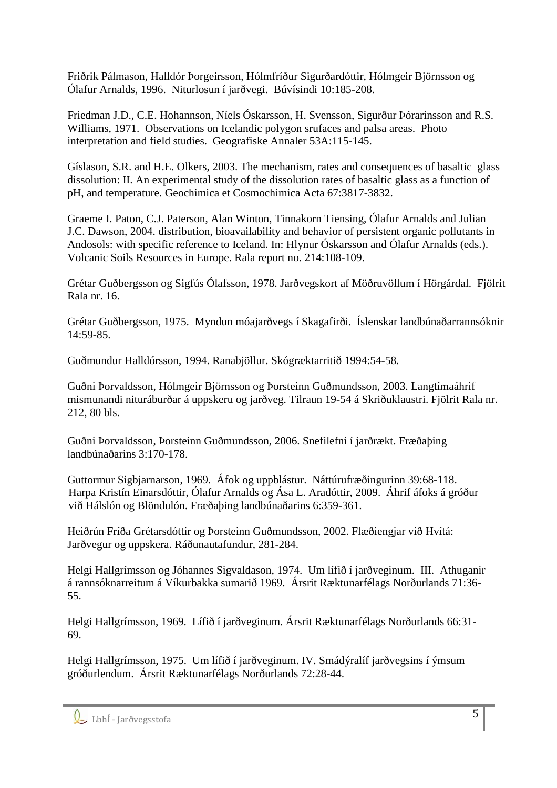Friðrik Pálmason, Halldór Þorgeirsson, Hólmfríður Sigurðardóttir, Hólmgeir Björnsson og Ólafur Arnalds, 1996. Niturlosun í jarðvegi. Búvísindi 10:185-208.

Friedman J.D., C.E. Hohannson, Níels Óskarsson, H. Svensson, Sigurður Þórarinsson and R.S. Williams, 1971. Observations on Icelandic polygon srufaces and palsa areas. Photo interpretation and field studies. Geografiske Annaler 53A:115-145.

Gíslason, S.R. and H.E. Olkers, 2003. The mechanism, rates and consequences of basaltic glass dissolution: II. An experimental study of the dissolution rates of basaltic glass as a function of pH, and temperature. Geochimica et Cosmochimica Acta 67:3817-3832.

Graeme I. Paton, C.J. Paterson, Alan Winton, Tinnakorn Tiensing, Ólafur Arnalds and Julian J.C. Dawson, 2004. distribution, bioavailability and behavior of persistent organic pollutants in Andosols: with specific reference to Iceland. In: Hlynur Óskarsson and Ólafur Arnalds (eds.). Volcanic Soils Resources in Europe. Rala report no. 214:108-109.

Grétar Guðbergsson og Sigfús Ólafsson, 1978. Jarðvegskort af Möðruvöllum í Hörgárdal. Fjölrit Rala nr. 16.

Grétar Guðbergsson, 1975. Myndun móajarðvegs í Skagafirði. Íslenskar landbúnaðarrannsóknir 14:59-85.

Guðmundur Halldórsson, 1994. Ranabjöllur. Skógræktarritið 1994:54-58.

Guðni Þorvaldsson, Hólmgeir Björnsson og Þorsteinn Guðmundsson, 2003. Langtímaáhrif mismunandi nituráburðar á uppskeru og jarðveg. Tilraun 19-54 á Skriðuklaustri. Fjölrit Rala nr. 212, 80 bls.

Guðni Þorvaldsson, Þorsteinn Guðmundsson, 2006. Snefilefni í jarðrækt. Fræðaþing landbúnaðarins 3:170-178.

Guttormur Sigbjarnarson, 1969. Áfok og uppblástur. Náttúrufræðingurinn 39:68-118. Harpa Kristín Einarsdóttir, Ólafur Arnalds og Ása L. Aradóttir, 2009. Áhrif áfoks á gróður við Hálslón og Blöndulón. Fræðaþing landbúnaðarins 6:359-361.

Heiðrún Fríða Grétarsdóttir og Þorsteinn Guðmundsson, 2002. Flæðiengjar við Hvítá: Jarðvegur og uppskera. Ráðunautafundur, 281-284.

Helgi Hallgrímsson og Jóhannes Sigvaldason, 1974. Um lífið í jarðveginum. III. Athuganir á rannsóknarreitum á Víkurbakka sumarið 1969. Ársrit Ræktunarfélags Norðurlands 71:36- 55.

Helgi Hallgrímsson, 1969. Lífið í jarðveginum. Ársrit Ræktunarfélags Norðurlands 66:31- 69.

Helgi Hallgrímsson, 1975. Um lífið í jarðveginum. IV. Smádýralíf jarðvegsins í ýmsum gróðurlendum. Ársrit Ræktunarfélags Norðurlands 72:28-44.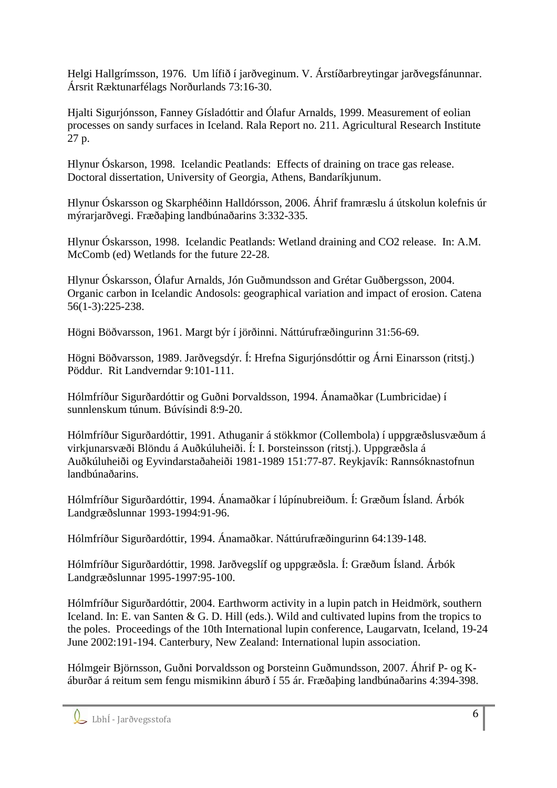Helgi Hallgrímsson, 1976. Um lífið í jarðveginum. V. Árstíðarbreytingar jarðvegsfánunnar. Ársrit Ræktunarfélags Norðurlands 73:16-30.

Hjalti Sigurjónsson, Fanney Gísladóttir and Ólafur Arnalds, 1999. Measurement of eolian processes on sandy surfaces in Iceland. Rala Report no. 211. Agricultural Research Institute 27 p.

Hlynur Óskarson, 1998. Icelandic Peatlands: Effects of draining on trace gas release. Doctoral dissertation, University of Georgia, Athens, Bandaríkjunum.

Hlynur Óskarsson og Skarphéðinn Halldórsson, 2006. Áhrif framræslu á útskolun kolefnis úr mýrarjarðvegi. Fræðaþing landbúnaðarins 3:332-335.

Hlynur Óskarsson, 1998. Icelandic Peatlands: Wetland draining and CO2 release. In: A.M. McComb (ed) Wetlands for the future 22-28.

Hlynur Óskarsson, Ólafur Arnalds, Jón Guðmundsson and Grétar Guðbergsson, 2004. Organic carbon in Icelandic Andosols: geographical variation and impact of erosion. Catena 56(1-3):225-238.

Högni Böðvarsson, 1961. Margt býr í jörðinni. Náttúrufræðingurinn 31:56-69.

Högni Böðvarsson, 1989. Jarðvegsdýr. Í: Hrefna Sigurjónsdóttir og Árni Einarsson (ritstj.) Pöddur. Rit Landverndar 9:101-111.

Hólmfríður Sigurðardóttir og Guðni Þorvaldsson, 1994. Ánamaðkar (Lumbricidae) í sunnlenskum túnum. Búvísindi 8:9-20.

Hólmfríður Sigurðardóttir, 1991. Athuganir á stökkmor (Collembola) í uppgræðslusvæðum á virkjunarsvæði Blöndu á Auðkúluheiði. Í: I. Þorsteinsson (ritstj.). Uppgræðsla á Auðkúluheiði og Eyvindarstaðaheiði 1981-1989 151:77-87. Reykjavík: Rannsóknastofnun landbúnaðarins.

Hólmfríður Sigurðardóttir, 1994. Ánamaðkar í lúpínubreiðum. Í: Græðum Ísland. Árbók Landgræðslunnar 1993-1994:91-96.

Hólmfríður Sigurðardóttir, 1994. Ánamaðkar. Náttúrufræðingurinn 64:139-148.

Hólmfríður Sigurðardóttir, 1998. Jarðvegslíf og uppgræðsla. Í: Græðum Ísland. Árbók Landgræðslunnar 1995-1997:95-100.

Hólmfríður Sigurðardóttir, 2004. Earthworm activity in a lupin patch in Heidmörk, southern Iceland. In: E. van Santen & G. D. Hill (eds.). Wild and cultivated lupins from the tropics to the poles. Proceedings of the 10th International lupin conference, Laugarvatn, Iceland, 19-24 June 2002:191-194. Canterbury, New Zealand: International lupin association.

Hólmgeir Björnsson, Guðni Þorvaldsson og Þorsteinn Guðmundsson, 2007. Áhrif P- og Káburðar á reitum sem fengu mismikinn áburð í 55 ár. Fræðaþing landbúnaðarins 4:394-398.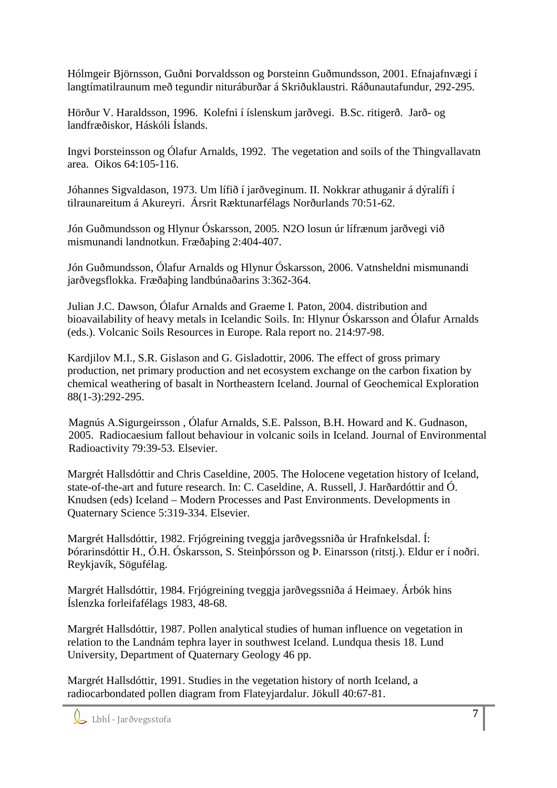Hólmgeir Björnsson, Guðni Þorvaldsson og Þorsteinn Guðmundsson, 2001. Efnajafnvægi í langtímatilraunum með tegundir nituráburðar á Skriðuklaustri. Ráðunautafundur, 292-295.

Hörður V. Haraldsson, 1996. Kolefni í íslenskum jarðvegi. B.Sc. ritigerð. Jarð- og landfræðiskor, Háskóli Íslands.

Ingvi Þorsteinsson og Ólafur Arnalds, 1992. The vegetation and soils of the Thingvallavatn area. Oikos 64:105-116.

Jóhannes Sigvaldason, 1973. Um lífið í jarðveginum. II. Nokkrar athuganir á dýralífi í tilraunareitum á Akureyri. Ársrit Ræktunarfélags Norðurlands 70:51-62.

Jón Guðmundsson og Hlynur Óskarsson, 2005. N2O losun úr lífrænum jarðvegi við mismunandi landnotkun. Fræðaþing 2:404-407.

Jón Guðmundsson, Ólafur Arnalds og Hlynur Óskarsson, 2006. Vatnsheldni mismunandi jarðvegsflokka. Fræðaþing landbúnaðarins 3:362-364.

Julian J.C. Dawson, Ólafur Arnalds and Graeme I. Paton, 2004. distribution and bioavailability of heavy metals in Icelandic Soils. In: Hlynur Óskarsson and Ólafur Arnalds (eds.). Volcanic Soils Resources in Europe. Rala report no. 214:97-98.

Kardjilov M.I., S.R. Gislason and G. Gisladottir, 2006. The effect of gross primary production, net primary production and net ecosystem exchange on the carbon fixation by chemical weathering of basalt in Northeastern Iceland. Journal of Geochemical Exploration 88(1-3):292-295.

Magnús A.Sigurgeirsson , Ólafur Arnalds, S.E. Palsson, B.H. Howard and K. Gudnason, 2005. Radiocaesium fallout behaviour in volcanic soils in Iceland. Journal of Environmental Radioactivity 79:39-53. Elsevier.

Margrét Hallsdóttir and Chris Caseldine, 2005. The Holocene vegetation history of Iceland, state-of-the-art and future research. In: C. Caseldine, A. Russell, J. Harðardóttir and Ó. Knudsen (eds) Iceland – Modern Processes and Past Environments. Developments in Quaternary Science 5:319-334. Elsevier.

Margrét Hallsdóttir, 1982. Frjógreining tveggja jarðvegssniða úr Hrafnkelsdal. Í: Þórarinsdóttir H., Ó.H. Óskarsson, S. Steinþórsson og Þ. Einarsson (ritstj.). Eldur er í noðri. Reykjavík, Sögufélag.

Margrét Hallsdóttir, 1984. Frjógreining tveggja jarðvegssniða á Heimaey. Árbók hins Íslenzka forleifafélags 1983, 48-68.

Margrét Hallsdóttir, 1987. Pollen analytical studies of human influence on vegetation in relation to the Landnám tephra layer in southwest Iceland. Lundqua thesis 18. Lund University, Department of Quaternary Geology 46 pp.

Margrét Hallsdóttir, 1991. Studies in the vegetation history of north Iceland, a radiocarbondated pollen diagram from Flateyjardalur. Jökull 40:67-81.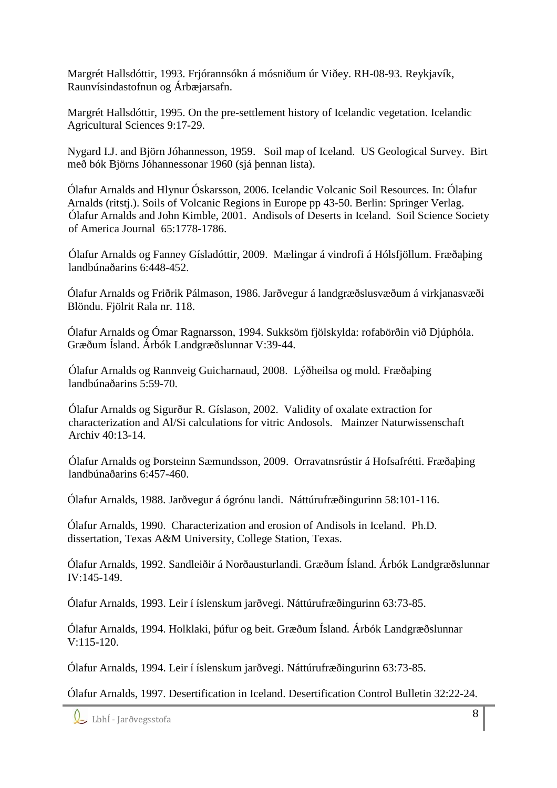Margrét Hallsdóttir, 1993. Frjórannsókn á mósniðum úr Viðey. RH-08-93. Reykjavík, Raunvísindastofnun og Árbæjarsafn.

Margrét Hallsdóttir, 1995. On the pre-settlement history of Icelandic vegetation. Icelandic Agricultural Sciences 9:17-29.

Nygard I.J. and Björn Jóhannesson, 1959. Soil map of Iceland. US Geological Survey. Birt með bók Björns Jóhannessonar 1960 (sjá þennan lista).

Ólafur Arnalds and Hlynur Óskarsson, 2006. Icelandic Volcanic Soil Resources. In: Ólafur Arnalds (ritstj.). Soils of Volcanic Regions in Europe pp 43-50. Berlin: Springer Verlag. Ólafur Arnalds and John Kimble, 2001. Andisols of Deserts in Iceland. Soil Science Society of America Journal 65:1778-1786.

Ólafur Arnalds og Fanney Gísladóttir, 2009. Mælingar á vindrofi á Hólsfjöllum. Fræðaþing landbúnaðarins 6:448-452.

Ólafur Arnalds og Friðrik Pálmason, 1986. Jarðvegur á landgræðslusvæðum á virkjanasvæði Blöndu. Fjölrit Rala nr. 118.

Ólafur Arnalds og Ómar Ragnarsson, 1994. Sukksöm fjölskylda: rofabörðin við Djúphóla. Græðum Ísland. Árbók Landgræðslunnar V:39-44.

Ólafur Arnalds og Rannveig Guicharnaud, 2008. Lýðheilsa og mold. Fræðaþing landbúnaðarins 5:59-70.

Ólafur Arnalds og Sigurður R. Gíslason, 2002. Validity of oxalate extraction for characterization and Al/Si calculations for vitric Andosols. Mainzer Naturwissenschaft Archiv 40:13-14.

Ólafur Arnalds og Þorsteinn Sæmundsson, 2009. Orravatnsrústir á Hofsafrétti. Fræðaþing landbúnaðarins 6:457-460.

Ólafur Arnalds, 1988. Jarðvegur á ógrónu landi. Náttúrufræðingurinn 58:101-116.

Ólafur Arnalds, 1990. Characterization and erosion of Andisols in Iceland. Ph.D. dissertation, Texas A&M University, College Station, Texas.

Ólafur Arnalds, 1992. Sandleiðir á Norðausturlandi. Græðum Ísland. Árbók Landgræðslunnar IV:145-149.

Ólafur Arnalds, 1993. Leir í íslenskum jarðvegi. Náttúrufræðingurinn 63:73-85.

Ólafur Arnalds, 1994. Holklaki, þúfur og beit. Græðum Ísland. Árbók Landgræðslunnar  $V:115-120$ .

Ólafur Arnalds, 1994. Leir í íslenskum jarðvegi. Náttúrufræðingurinn 63:73-85.

Ólafur Arnalds, 1997. Desertification in Iceland. Desertification Control Bulletin 32:22-24.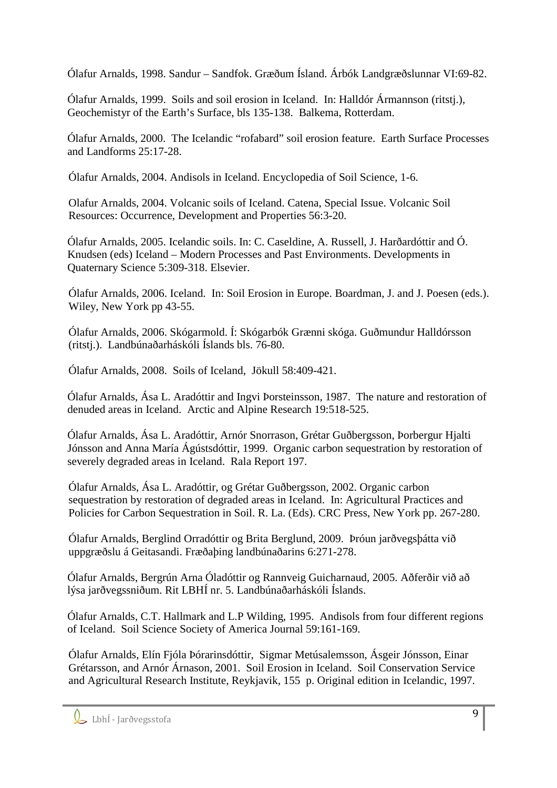Ólafur Arnalds, 1998. Sandur – Sandfok. Græðum Ísland. Árbók Landgræðslunnar VI:69-82.

Ólafur Arnalds, 1999. Soils and soil erosion in Iceland. In: Halldór Ármannson (ritstj.), Geochemistyr of the Earth's Surface, bls 135-138. Balkema, Rotterdam.

Ólafur Arnalds, 2000. The Icelandic "rofabard" soil erosion feature. Earth Surface Processes and Landforms 25:17-28.

Ólafur Arnalds, 2004. Andisols in Iceland. Encyclopedia of Soil Science, 1-6.

Olafur Arnalds, 2004. Volcanic soils of Iceland. Catena, Special Issue. Volcanic Soil Resources: Occurrence, Development and Properties 56:3-20.

Ólafur Arnalds, 2005. Icelandic soils. In: C. Caseldine, A. Russell, J. Harðardóttir and Ó. Knudsen (eds) Iceland – Modern Processes and Past Environments. Developments in Quaternary Science 5:309-318. Elsevier.

Ólafur Arnalds, 2006. Iceland. In: Soil Erosion in Europe. Boardman, J. and J. Poesen (eds.). Wiley, New York pp 43-55.

Ólafur Arnalds, 2006. Skógarmold. Í: Skógarbók Grænni skóga. Guðmundur Halldórsson (ritstj.). Landbúnaðarháskóli Íslands bls. 76-80.

Ólafur Arnalds, 2008. Soils of Iceland, Jökull 58:409-421.

Ólafur Arnalds, Ása L. Aradóttir and Ingvi Þorsteinsson, 1987. The nature and restoration of denuded areas in Iceland. Arctic and Alpine Research 19:518-525.

Ólafur Arnalds, Ása L. Aradóttir, Arnór Snorrason, Grétar Guðbergsson, Þorbergur Hjalti Jónsson and Anna María Ágústsdóttir, 1999. Organic carbon sequestration by restoration of severely degraded areas in Iceland. Rala Report 197.

Ólafur Arnalds, Ása L. Aradóttir, og Grétar Guðbergsson, 2002. Organic carbon sequestration by restoration of degraded areas in Iceland. In: Agricultural Practices and Policies for Carbon Sequestration in Soil. R. La. (Eds). CRC Press, New York pp. 267-280.

Ólafur Arnalds, Berglind Orradóttir og Brita Berglund, 2009. Þróun jarðvegsþátta við uppgræðslu á Geitasandi. Fræðaþing landbúnaðarins 6:271-278.

Ólafur Arnalds, Bergrún Arna Óladóttir og Rannveig Guicharnaud, 2005. Aðferðir við að lýsa jarðvegssniðum. Rit LBHÍ nr. 5. Landbúnaðarháskóli Íslands.

Ólafur Arnalds, C.T. Hallmark and L.P Wilding, 1995. Andisols from four different regions of Iceland. Soil Science Society of America Journal 59:161-169.

Ólafur Arnalds, Elín Fjóla Þórarinsdóttir, Sigmar Metúsalemsson, Ásgeir Jónsson, Einar Grétarsson, and Arnór Árnason, 2001. Soil Erosion in Iceland. Soil Conservation Service and Agricultural Research Institute, Reykjavik, 155 p. Original edition in Icelandic, 1997.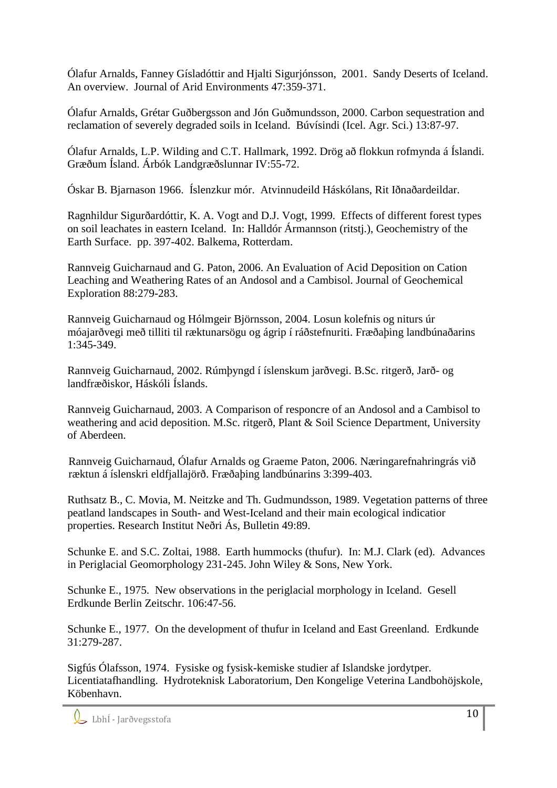Ólafur Arnalds, Fanney Gísladóttir and Hjalti Sigurjónsson, 2001. Sandy Deserts of Iceland. An overview. Journal of Arid Environments 47:359-371.

Ólafur Arnalds, Grétar Guðbergsson and Jón Guðmundsson, 2000. Carbon sequestration and reclamation of severely degraded soils in Iceland. Búvísindi (Icel. Agr. Sci.) 13:87-97.

Ólafur Arnalds, L.P. Wilding and C.T. Hallmark, 1992. Drög að flokkun rofmynda á Íslandi. Græðum Ísland. Árbók Landgræðslunnar IV:55-72.

Óskar B. Bjarnason 1966. Íslenzkur mór. Atvinnudeild Háskólans, Rit Iðnaðardeildar.

Ragnhildur Sigurðardóttir, K. A. Vogt and D.J. Vogt, 1999. Effects of different forest types on soil leachates in eastern Iceland. In: Halldór Ármannson (ritstj.), Geochemistry of the Earth Surface. pp. 397-402. Balkema, Rotterdam.

Rannveig Guicharnaud and G. Paton, 2006. An Evaluation of Acid Deposition on Cation Leaching and Weathering Rates of an Andosol and a Cambisol. Journal of Geochemical Exploration 88:279-283.

Rannveig Guicharnaud og Hólmgeir Björnsson, 2004. Losun kolefnis og niturs úr móajarðvegi með tilliti til ræktunarsögu og ágrip í ráðstefnuriti. Fræðaþing landbúnaðarins 1:345-349.

Rannveig Guicharnaud, 2002. Rúmþyngd í íslenskum jarðvegi. B.Sc. ritgerð, Jarð- og landfræðiskor, Háskóli Íslands.

Rannveig Guicharnaud, 2003. A Comparison of responcre of an Andosol and a Cambisol to weathering and acid deposition. M.Sc. ritgerð, Plant & Soil Science Department, University of Aberdeen.

Rannveig Guicharnaud, Ólafur Arnalds og Graeme Paton, 2006. Næringarefnahringrás við ræktun á íslenskri eldfjallajörð. Fræðaþing landbúnarins 3:399-403.

Ruthsatz B., C. Movia, M. Neitzke and Th. Gudmundsson, 1989. Vegetation patterns of three peatland landscapes in South- and West-Iceland and their main ecological indicatior properties. Research Institut Neðri Ás, Bulletin 49:89.

Schunke E. and S.C. Zoltai, 1988. Earth hummocks (thufur). In: M.J. Clark (ed). Advances in Periglacial Geomorphology 231-245. John Wiley & Sons, New York.

Schunke E., 1975. New observations in the periglacial morphology in Iceland. Gesell Erdkunde Berlin Zeitschr. 106:47-56.

Schunke E., 1977. On the development of thufur in Iceland and East Greenland. Erdkunde 31:279-287.

Sigfús Ólafsson, 1974. Fysiske og fysisk-kemiske studier af Islandske jordytper. Licentiatafhandling. Hydroteknisk Laboratorium, Den Kongelige Veterina Landbohöjskole, Köbenhavn.

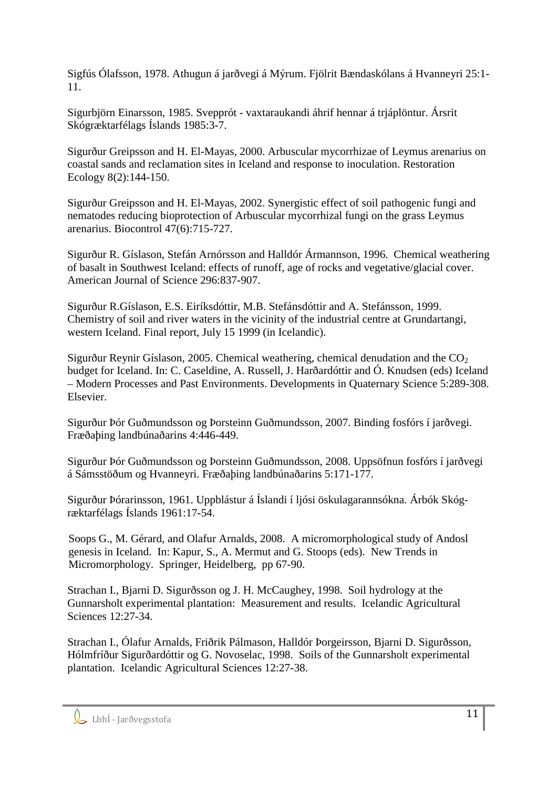Sigfús Ólafsson, 1978. Athugun á jarðvegi á Mýrum. Fjölrit Bændaskólans á Hvanneyri 25:1- 11.

Sigurbjörn Einarsson, 1985. Svepprót - vaxtaraukandi áhrif hennar á trjáplöntur. Ársrit Skógræktarfélags Íslands 1985:3-7.

Sigurður Greipsson and H. El-Mayas, 2000. Arbuscular mycorrhizae of Leymus arenarius on coastal sands and reclamation sites in Iceland and response to inoculation. Restoration Ecology 8(2):144-150.

Sigurður Greipsson and H. El-Mayas, 2002. Synergistic effect of soil pathogenic fungi and nematodes reducing bioprotection of Arbuscular mycorrhizal fungi on the grass Leymus arenarius. Biocontrol 47(6):715-727.

Sigurður R. Gíslason, Stefán Arnórsson and Halldór Ármannson, 1996. Chemical weathering of basalt in Southwest Iceland: effects of runoff, age of rocks and vegetative/glacial cover. American Journal of Science 296:837-907.

Sigurður R.Gíslason, E.S. Eiríksdóttir, M.B. Stefánsdóttir and A. Stefánsson, 1999. Chemistry of soil and river waters in the vicinity of the industrial centre at Grundartangi, western Iceland. Final report, July 15 1999 (in Icelandic).

Sigurður Reynir Gíslason, 2005. Chemical weathering, chemical denudation and the  $CO<sub>2</sub>$ budget for Iceland. In: C. Caseldine, A. Russell, J. Harðardóttir and Ó. Knudsen (eds) Iceland – Modern Processes and Past Environments. Developments in Quaternary Science 5:289-308. Elsevier.

Sigurður Þór Guðmundsson og Þorsteinn Guðmundsson, 2007. Binding fosfórs í jarðvegi. Fræðaþing landbúnaðarins 4:446-449.

Sigurður Þór Guðmundsson og Þorsteinn Guðmundsson, 2008. Uppsöfnun fosfórs í jarðvegi á Sámsstöðum og Hvanneyri. Fræðaþing landbúnaðarins 5:171-177.

Sigurður Þórarinsson, 1961. Uppblástur á Íslandi í ljósi öskulagarannsókna. Árbók Skógræktarfélags Íslands 1961:17-54.

Soops G., M. Gérard, and Olafur Arnalds, 2008. A micromorphological study of Andosl genesis in Iceland. In: Kapur, S., A. Mermut and G. Stoops (eds). New Trends in Micromorphology. Springer, Heidelberg, pp 67-90.

Strachan I., Bjarni D. Sigurðsson og J. H. McCaughey, 1998. Soil hydrology at the Gunnarsholt experimental plantation: Measurement and results. Icelandic Agricultural Sciences 12:27-34.

Strachan I., Ólafur Arnalds, Friðrik Pálmason, Halldór Þorgeirsson, Bjarni D. Sigurðsson, Hólmfríður Sigurðardóttir og G. Novoselac, 1998. Soils of the Gunnarsholt experimental plantation. Icelandic Agricultural Sciences 12:27-38.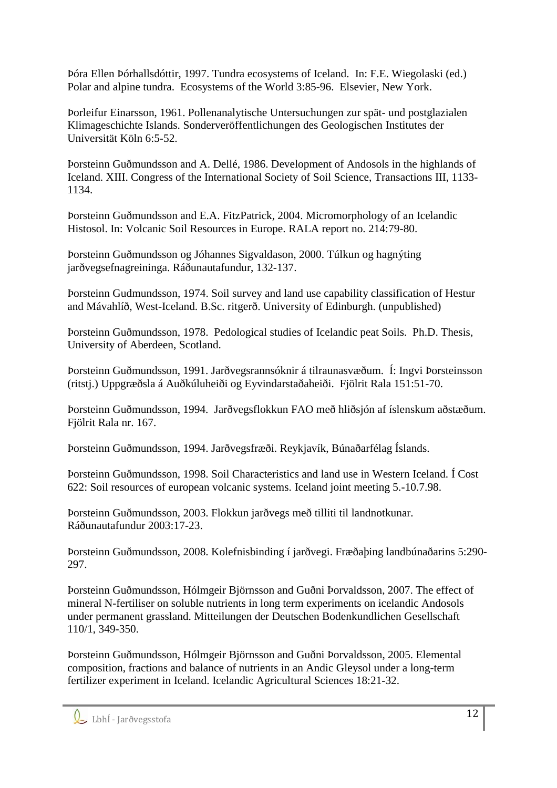Þóra Ellen Þórhallsdóttir, 1997. Tundra ecosystems of Iceland. In: F.E. Wiegolaski (ed.) Polar and alpine tundra. Ecosystems of the World 3:85-96. Elsevier, New York.

Þorleifur Einarsson, 1961. Pollenanalytische Untersuchungen zur spät- und postglazialen Klimageschichte Islands. Sonderveröffentlichungen des Geologischen Institutes der Universität Köln 6:5-52.

Þorsteinn Guðmundsson and A. Dellé, 1986. Development of Andosols in the highlands of Iceland. XIII. Congress of the International Society of Soil Science, Transactions III, 1133- 1134.

Þorsteinn Guðmundsson and E.A. FitzPatrick, 2004. Micromorphology of an Icelandic Histosol. In: Volcanic Soil Resources in Europe. RALA report no. 214:79-80.

Þorsteinn Guðmundsson og Jóhannes Sigvaldason, 2000. Túlkun og hagnýting jarðvegsefnagreininga. Ráðunautafundur, 132-137.

Þorsteinn Gudmundsson, 1974. Soil survey and land use capability classification of Hestur and Mávahlíð, West-Iceland. B.Sc. ritgerð. University of Edinburgh. (unpublished)

Þorsteinn Guðmundsson, 1978. Pedological studies of Icelandic peat Soils. Ph.D. Thesis, University of Aberdeen, Scotland.

Þorsteinn Guðmundsson, 1991. Jarðvegsrannsóknir á tilraunasvæðum. Í: Ingvi Þorsteinsson (ritstj.) Uppgræðsla á Auðkúluheiði og Eyvindarstaðaheiði. Fjölrit Rala 151:51-70.

Þorsteinn Guðmundsson, 1994. Jarðvegsflokkun FAO með hliðsjón af íslenskum aðstæðum. Fjölrit Rala nr. 167.

Þorsteinn Guðmundsson, 1994. Jarðvegsfræði. Reykjavík, Búnaðarfélag Íslands.

Þorsteinn Guðmundsson, 1998. Soil Characteristics and land use in Western Iceland. Í Cost 622: Soil resources of european volcanic systems. Iceland joint meeting 5.-10.7.98.

Þorsteinn Guðmundsson, 2003. Flokkun jarðvegs með tilliti til landnotkunar. Ráðunautafundur 2003:17-23.

Þorsteinn Guðmundsson, 2008. Kolefnisbinding í jarðvegi. Fræðaþing landbúnaðarins 5:290- 297.

Þorsteinn Guðmundsson, Hólmgeir Björnsson and Guðni Þorvaldsson, 2007. The effect of mineral N-fertiliser on soluble nutrients in long term experiments on icelandic Andosols under permanent grassland. Mitteilungen der Deutschen Bodenkundlichen Gesellschaft 110/1, 349-350.

Þorsteinn Guðmundsson, Hólmgeir Björnsson and Guðni Þorvaldsson, 2005. Elemental composition, fractions and balance of nutrients in an Andic Gleysol under a long-term fertilizer experiment in Iceland. Icelandic Agricultural Sciences 18:21-32.